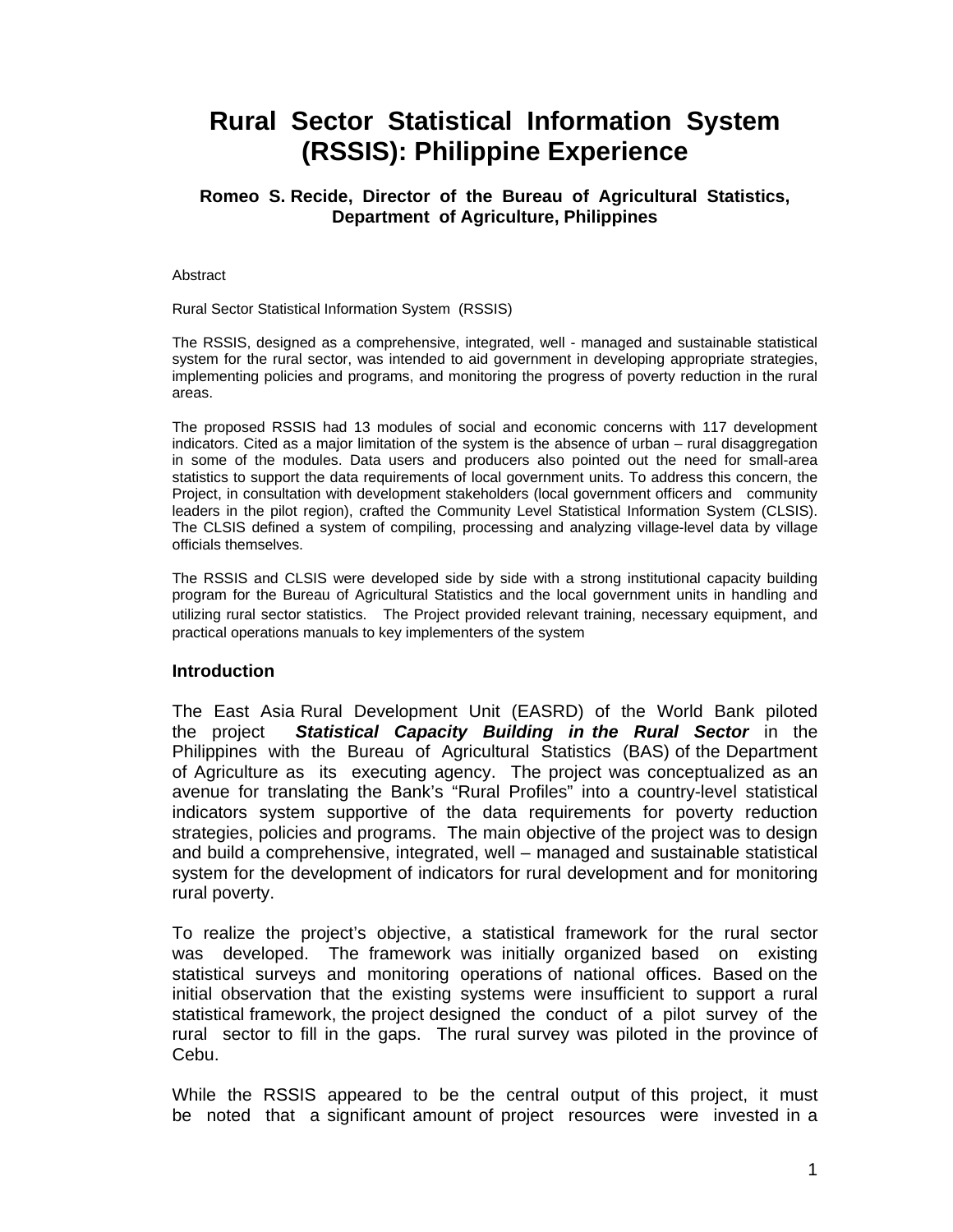# **Rural Sector Statistical Information System (RSSIS): Philippine Experience**

### **Romeo S. Recide, Director of the Bureau of Agricultural Statistics, Department of Agriculture, Philippines**

#### Abstract

#### Rural Sector Statistical Information System (RSSIS)

The RSSIS, designed as a comprehensive, integrated, well - managed and sustainable statistical system for the rural sector, was intended to aid government in developing appropriate strategies, implementing policies and programs, and monitoring the progress of poverty reduction in the rural areas.

The proposed RSSIS had 13 modules of social and economic concerns with 117 development indicators. Cited as a major limitation of the system is the absence of urban – rural disaggregation in some of the modules. Data users and producers also pointed out the need for small-area statistics to support the data requirements of local government units. To address this concern, the Project, in consultation with development stakeholders (local government officers and community leaders in the pilot region), crafted the Community Level Statistical Information System (CLSIS). The CLSIS defined a system of compiling, processing and analyzing village-level data by village officials themselves.

The RSSIS and CLSIS were developed side by side with a strong institutional capacity building program for the Bureau of Agricultural Statistics and the local government units in handling and utilizing rural sector statistics. The Project provided relevant training, necessary equipment, and practical operations manuals to key implementers of the system

#### **Introduction**

The East Asia Rural Development Unit (EASRD) of the World Bank piloted the project *Statistical Capacity Building in the Rural Sector* in the Philippines with the Bureau of Agricultural Statistics (BAS) of the Department of Agriculture as its executing agency. The project was conceptualized as an avenue for translating the Bank's "Rural Profiles" into a country-level statistical indicators system supportive of the data requirements for poverty reduction strategies, policies and programs. The main objective of the project was to design and build a comprehensive, integrated, well – managed and sustainable statistical system for the development of indicators for rural development and for monitoring rural poverty.

To realize the project's objective, a statistical framework for the rural sector was developed. The framework was initially organized based on existing statistical surveys and monitoring operations of national offices. Based on the initial observation that the existing systems were insufficient to support a rural statistical framework, the project designed the conduct of a pilot survey of the rural sector to fill in the gaps. The rural survey was piloted in the province of Cebu.

While the RSSIS appeared to be the central output of this project, it must be noted that a significant amount of project resources were invested in a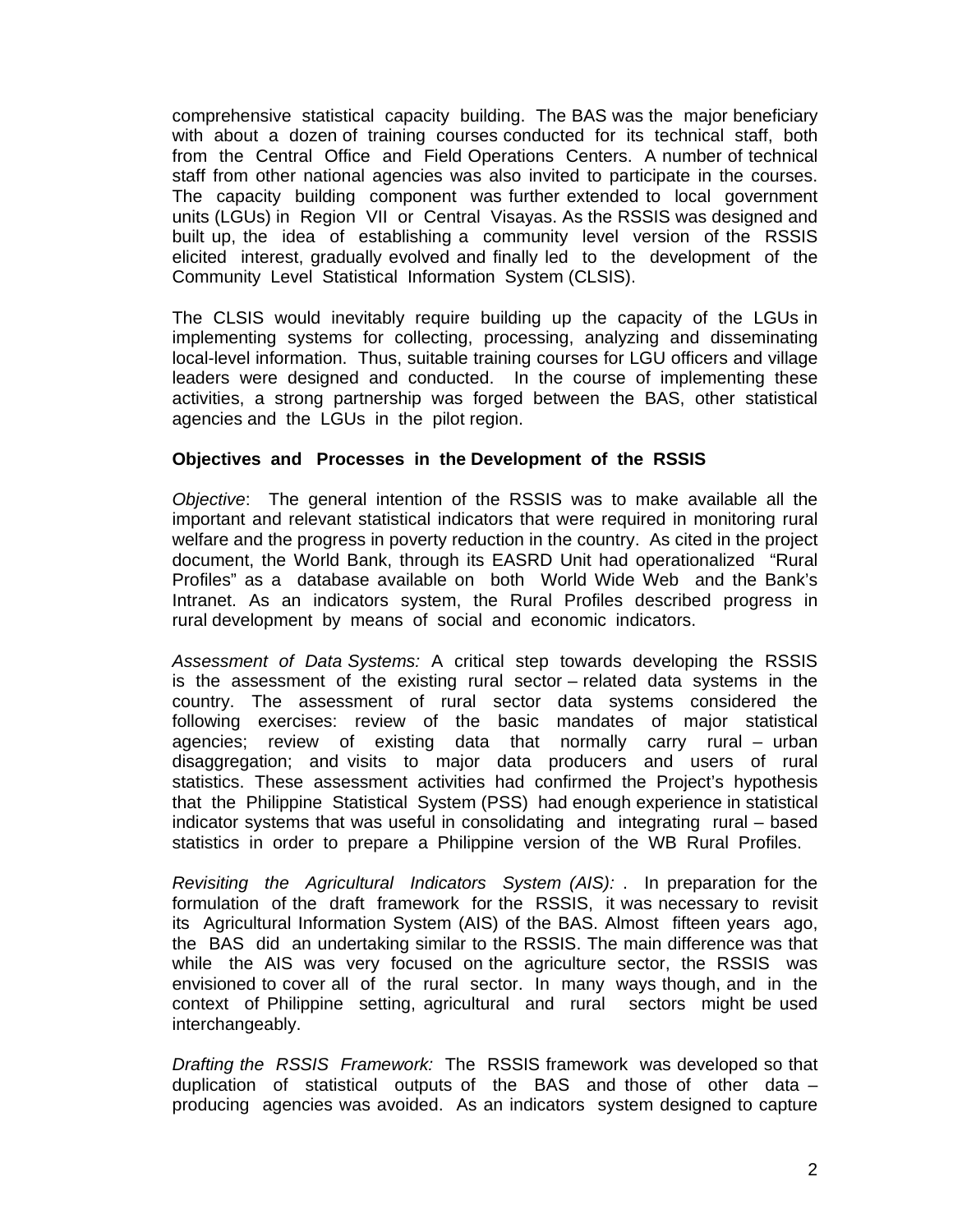comprehensive statistical capacity building. The BAS was the major beneficiary with about a dozen of training courses conducted for its technical staff, both from the Central Office and Field Operations Centers. A number of technical staff from other national agencies was also invited to participate in the courses. The capacity building component was further extended to local government units (LGUs) in Region VII or Central Visayas. As the RSSIS was designed and built up, the idea of establishing a community level version of the RSSIS elicited interest, gradually evolved and finally led to the development of the Community Level Statistical Information System (CLSIS).

The CLSIS would inevitably require building up the capacity of the LGUs in implementing systems for collecting, processing, analyzing and disseminating local-level information. Thus, suitable training courses for LGU officers and village leaders were designed and conducted. In the course of implementing these activities, a strong partnership was forged between the BAS, other statistical agencies and the LGUs in the pilot region.

### **Objectives and Processes in the Development of the RSSIS**

*Objective*: The general intention of the RSSIS was to make available all the important and relevant statistical indicators that were required in monitoring rural welfare and the progress in poverty reduction in the country. As cited in the project document, the World Bank, through its EASRD Unit had operationalized "Rural Profiles" as a database available on both World Wide Web and the Bank's Intranet. As an indicators system, the Rural Profiles described progress in rural development by means of social and economic indicators.

*Assessment of Data Systems:* A critical step towards developing the RSSIS is the assessment of the existing rural sector – related data systems in the country. The assessment of rural sector data systems considered the following exercises: review of the basic mandates of major statistical agencies; review of existing data that normally carry rural – urban disaggregation; and visits to major data producers and users of rural statistics. These assessment activities had confirmed the Project's hypothesis that the Philippine Statistical System (PSS) had enough experience in statistical indicator systems that was useful in consolidating and integrating rural – based statistics in order to prepare a Philippine version of the WB Rural Profiles.

*Revisiting the Agricultural Indicators System (AIS):* . In preparation for the formulation of the draft framework for the RSSIS, it was necessary to revisit its Agricultural Information System (AIS) of the BAS. Almost fifteen years ago, the BAS did an undertaking similar to the RSSIS. The main difference was that while the AIS was very focused on the agriculture sector, the RSSIS was envisioned to cover all of the rural sector. In many ways though, and in the context of Philippine setting, agricultural and rural sectors might be used interchangeably.

*Drafting the RSSIS Framework:* The RSSIS framework was developed so that duplication of statistical outputs of the BAS and those of other data – producing agencies was avoided. As an indicators system designed to capture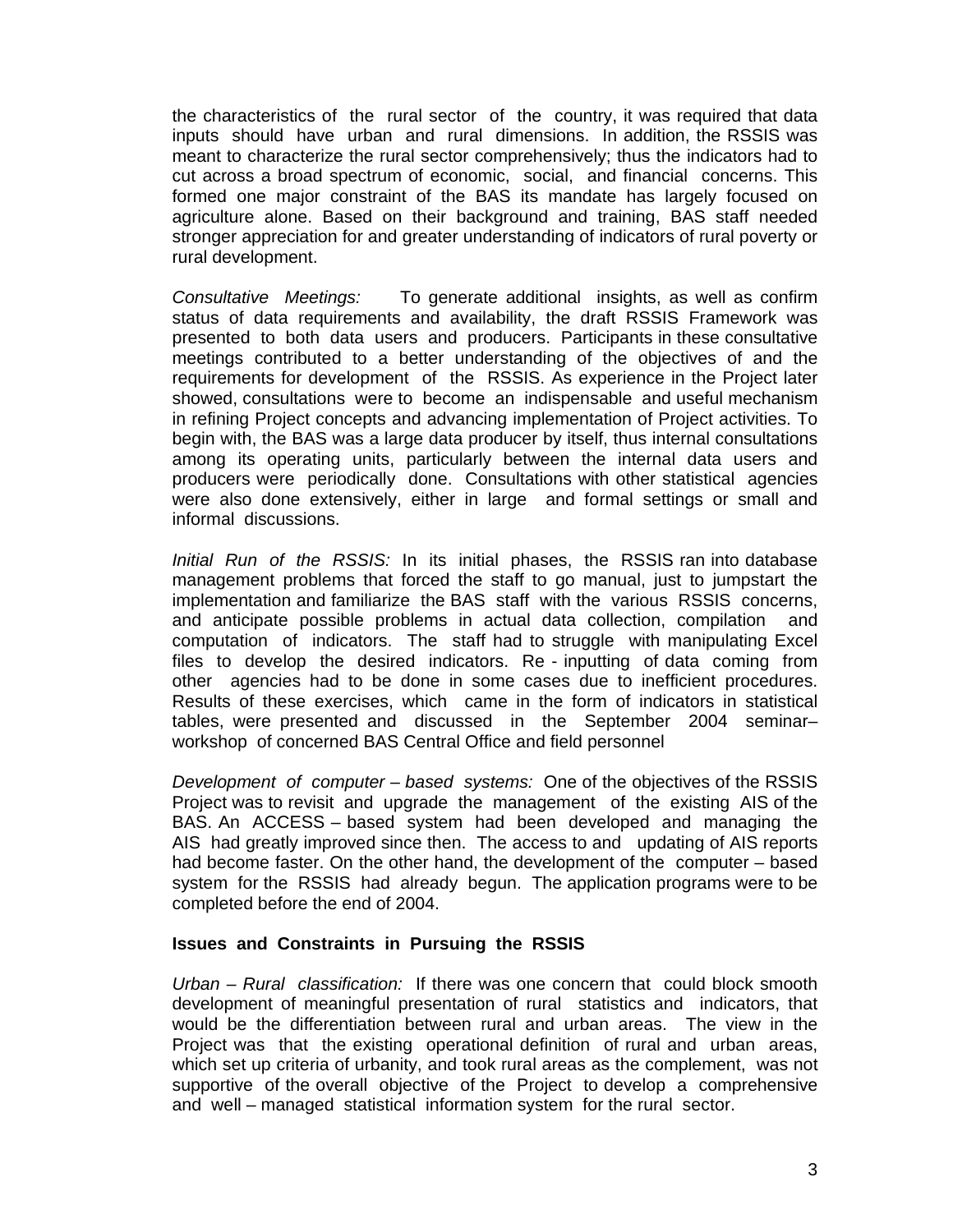the characteristics of the rural sector of the country, it was required that data inputs should have urban and rural dimensions. In addition, the RSSIS was meant to characterize the rural sector comprehensively; thus the indicators had to cut across a broad spectrum of economic, social, and financial concerns. This formed one major constraint of the BAS its mandate has largely focused on agriculture alone. Based on their background and training, BAS staff needed stronger appreciation for and greater understanding of indicators of rural poverty or rural development.

*Consultative Meetings:*To generate additional insights, as well as confirm status of data requirements and availability, the draft RSSIS Framework was presented to both data users and producers. Participants in these consultative meetings contributed to a better understanding of the objectives of and the requirements for development of the RSSIS. As experience in the Project later showed, consultations were to become an indispensable and useful mechanism in refining Project concepts and advancing implementation of Project activities. To begin with, the BAS was a large data producer by itself, thus internal consultations among its operating units, particularly between the internal data users and producers were periodically done. Consultations with other statistical agencies were also done extensively, either in large and formal settings or small and informal discussions.

*Initial Run of the RSSIS:*In its initialphases, the RSSIS ran into database management problems that forced the staff to go manual, just to jumpstart the implementation and familiarize the BAS staff with the various RSSIS concerns, and anticipate possible problems in actual data collection, compilation and computation of indicators. The staff had to struggle with manipulating Excel files to develop the desired indicators. Re - inputting of data coming from other agencies had to be done in some cases due to inefficient procedures. Results of these exercises, which came in the form of indicators in statistical tables, were presented and discussed in the September 2004 seminar– workshop of concerned BAS Central Office and field personnel

*Development of computer – based systems:*One of the objectives of the RSSIS Project was to revisit and upgrade the management of the existing AIS of the BAS. An ACCESS – based system had been developed and managing the AIS had greatly improved since then. The access to and updating of AIS reports had become faster. On the other hand, the development of the computer – based system for the RSSIS had already begun. The application programs were to be completed before the end of 2004.

#### **Issues and Constraints in Pursuing the RSSIS**

*Urban – Rural classification:* If there was one concern that could block smooth development of meaningful presentation of rural statistics and indicators, that would be the differentiation between rural and urban areas. The view in the Project was that the existing operational definition of rural and urban areas, which set up criteria of urbanity, and took rural areas as the complement, was not supportive of the overall objective of the Project to develop a comprehensive and well – managed statistical information system for the rural sector.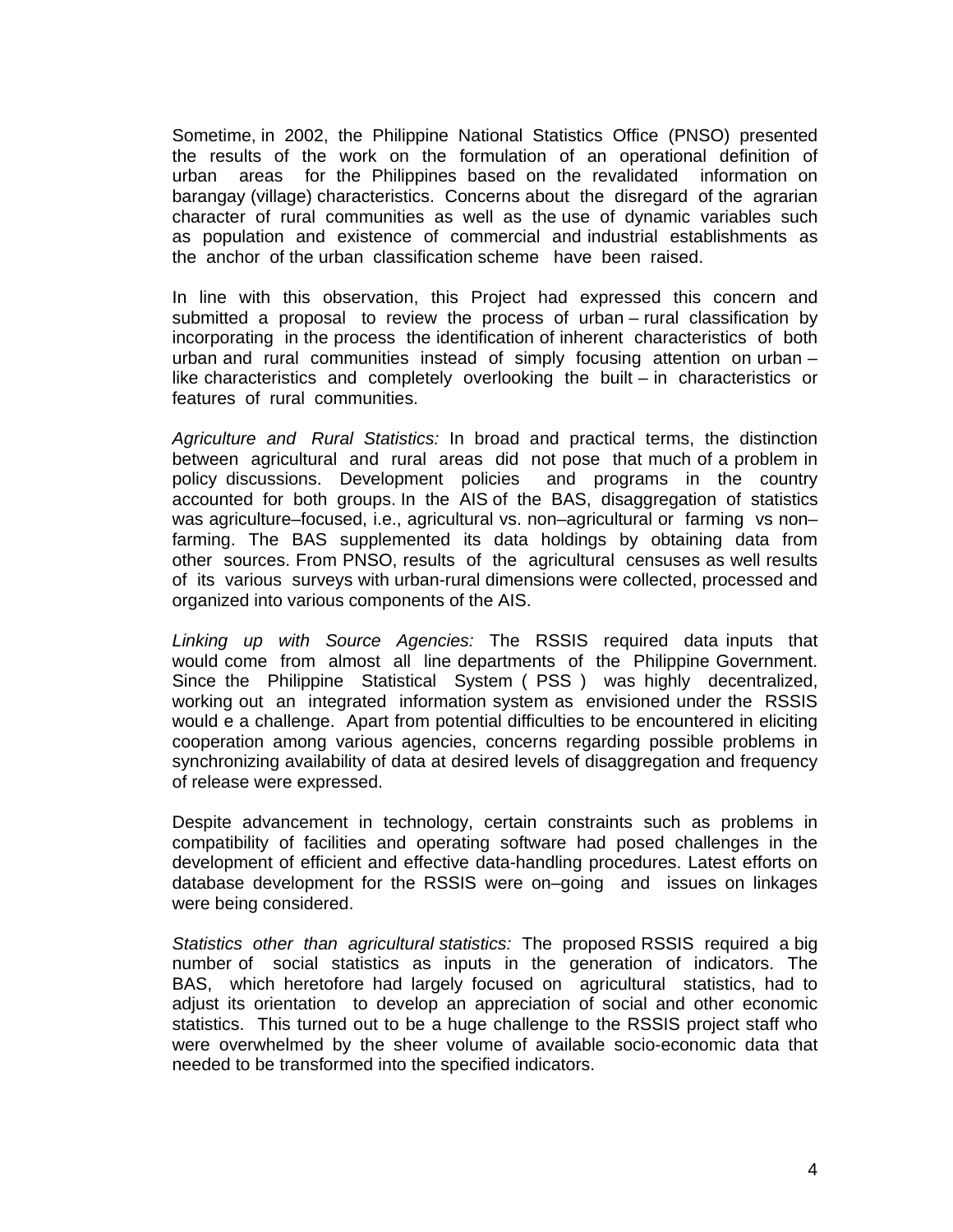Sometime, in 2002, the Philippine National Statistics Office (PNSO) presented the results of the work on the formulation of an operational definition of urban areas for the Philippines based on the revalidated information on barangay (village) characteristics. Concerns about the disregard of the agrarian character of rural communities as well as the use of dynamic variables such as population and existence of commercial and industrial establishments as the anchor of the urban classification scheme have been raised.

In line with this observation, this Project had expressed this concern and submitted a proposal to review the process of urban – rural classification by incorporating in the process the identification of inherent characteristics of both urban and rural communities instead of simply focusing attention on urban – like characteristics and completely overlooking the built – in characteristics or features of rural communities.

*Agriculture and Rural Statistics:* In broad and practical terms, the distinction between agricultural and rural areas did not pose that much of a problem in policy discussions. Development policies and programs in the country accounted for both groups. In the AIS of the BAS, disaggregation of statistics was agriculture–focused, i.e., agricultural vs. non–agricultural or farming vs non– farming. The BAS supplemented its data holdings by obtaining data from other sources. From PNSO, results of the agricultural censuses as well results of its various surveys with urban-rural dimensions were collected, processed and organized into various components of the AIS.

*Linking up with Source Agencies:*The RSSIS required data inputs that would come from almost all line departments of the Philippine Government. Since the Philippine Statistical System ( PSS ) was highly decentralized, working out an integrated information system as envisioned under the RSSIS would e a challenge. Apart from potential difficulties to be encountered in eliciting cooperation among various agencies, concerns regarding possible problems in synchronizing availability of data at desired levels of disaggregation and frequency of release were expressed.

Despite advancement in technology, certain constraints such as problems in compatibility of facilities and operating software had posed challenges in the development of efficient and effective data-handling procedures. Latest efforts on database development for the RSSIS were on–going and issues on linkages were being considered.

*Statistics other than agricultural statistics:*The proposed RSSIS required a big number of social statistics as inputs in the generation of indicators. The BAS, which heretofore had largely focused on agricultural statistics, had to adjust its orientation to develop an appreciation of social and other economic statistics. This turned out to be a huge challenge to the RSSIS project staff who were overwhelmed by the sheer volume of available socio-economic data that needed to be transformed into the specified indicators.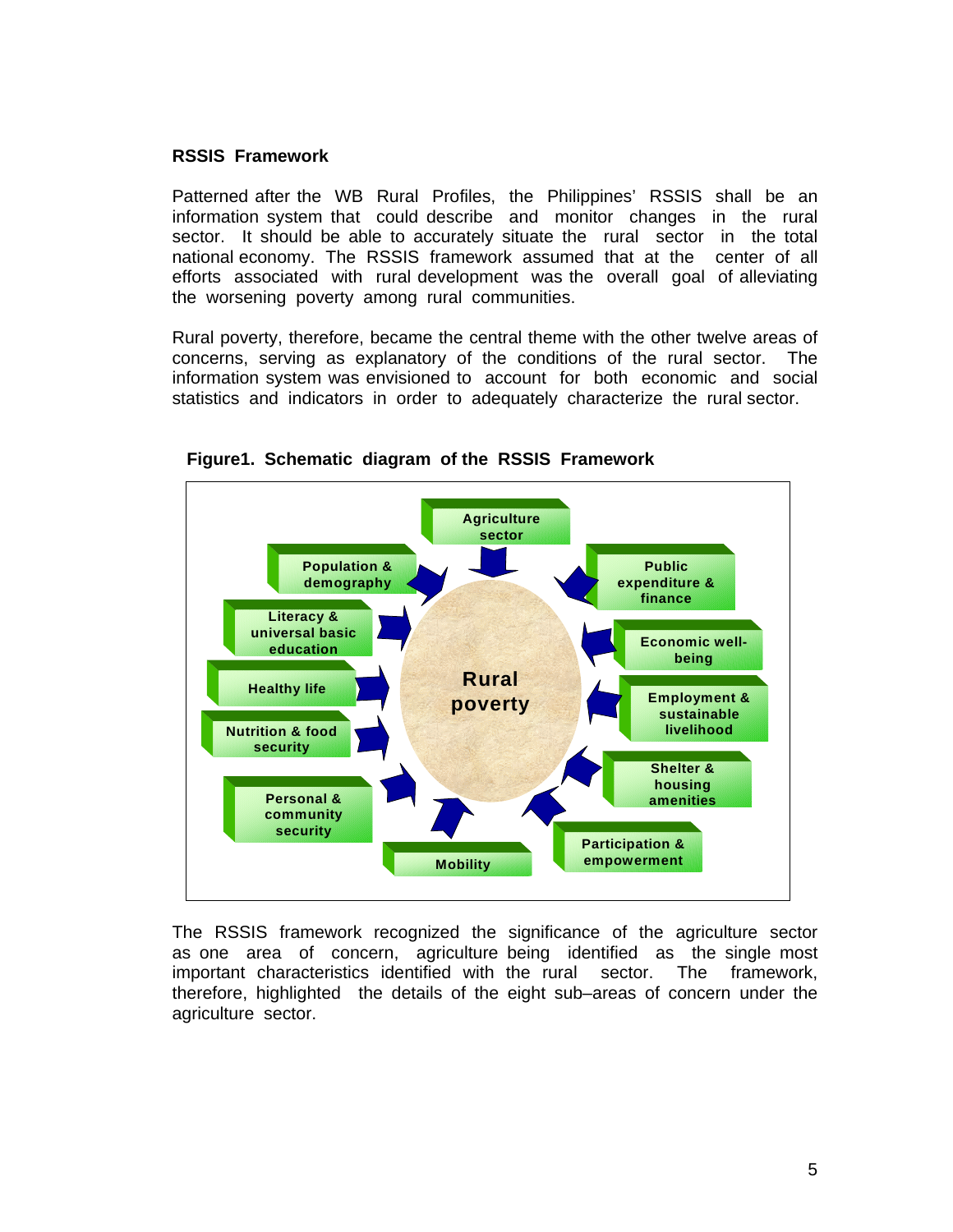#### **RSSIS Framework**

Patterned after the WB Rural Profiles, the Philippines' RSSIS shall be an information system that could describe and monitor changes in the rural sector. It should be able to accurately situate the rural sector in the total national economy. The RSSIS framework assumed that at the center of all efforts associated with rural development was the overall goal of alleviating the worsening poverty among rural communities.

Rural poverty, therefore, became the central theme with the other twelve areas of concerns, serving as explanatory of the conditions of the rural sector. The information system was envisioned to account for both economic and social statistics and indicators in order to adequately characterize the rural sector.



 **Figure1. Schematic diagram of the RSSIS Framework** 

The RSSIS framework recognized the significance of the agriculture sector as one area of concern, agriculture being identified as the single most important characteristics identified with the rural sector. The framework, therefore, highlighted the details of the eight sub–areas of concern under the agriculture sector.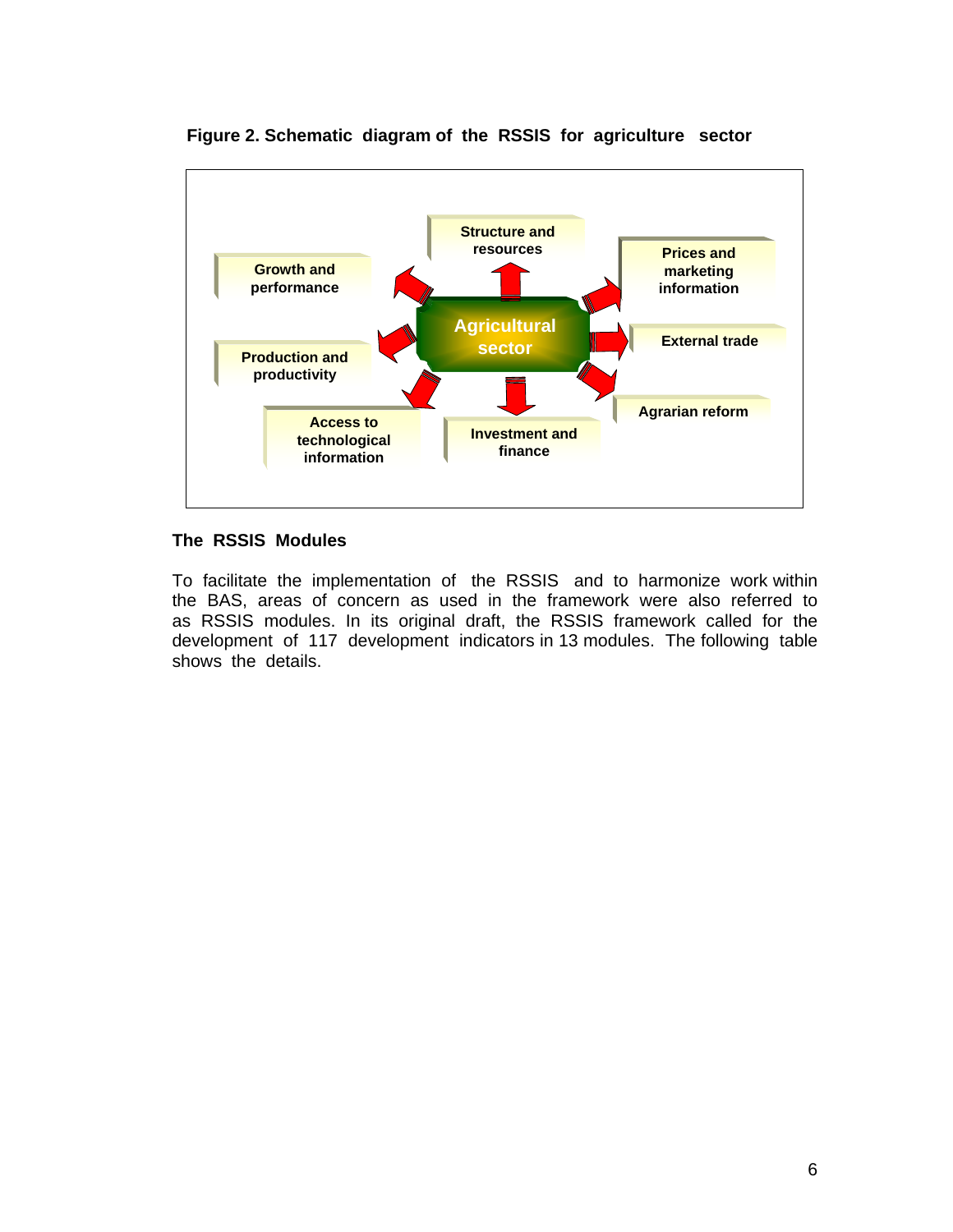

 **Figure 2. Schematic diagram of the RSSIS for agriculture sector** 

### **The RSSIS Modules**

To facilitate the implementation of the RSSIS and to harmonize work within the BAS, areas of concern as used in the framework were also referred to as RSSIS modules. In its original draft, the RSSIS framework called for the development of 117 development indicators in 13 modules. The following table shows the details.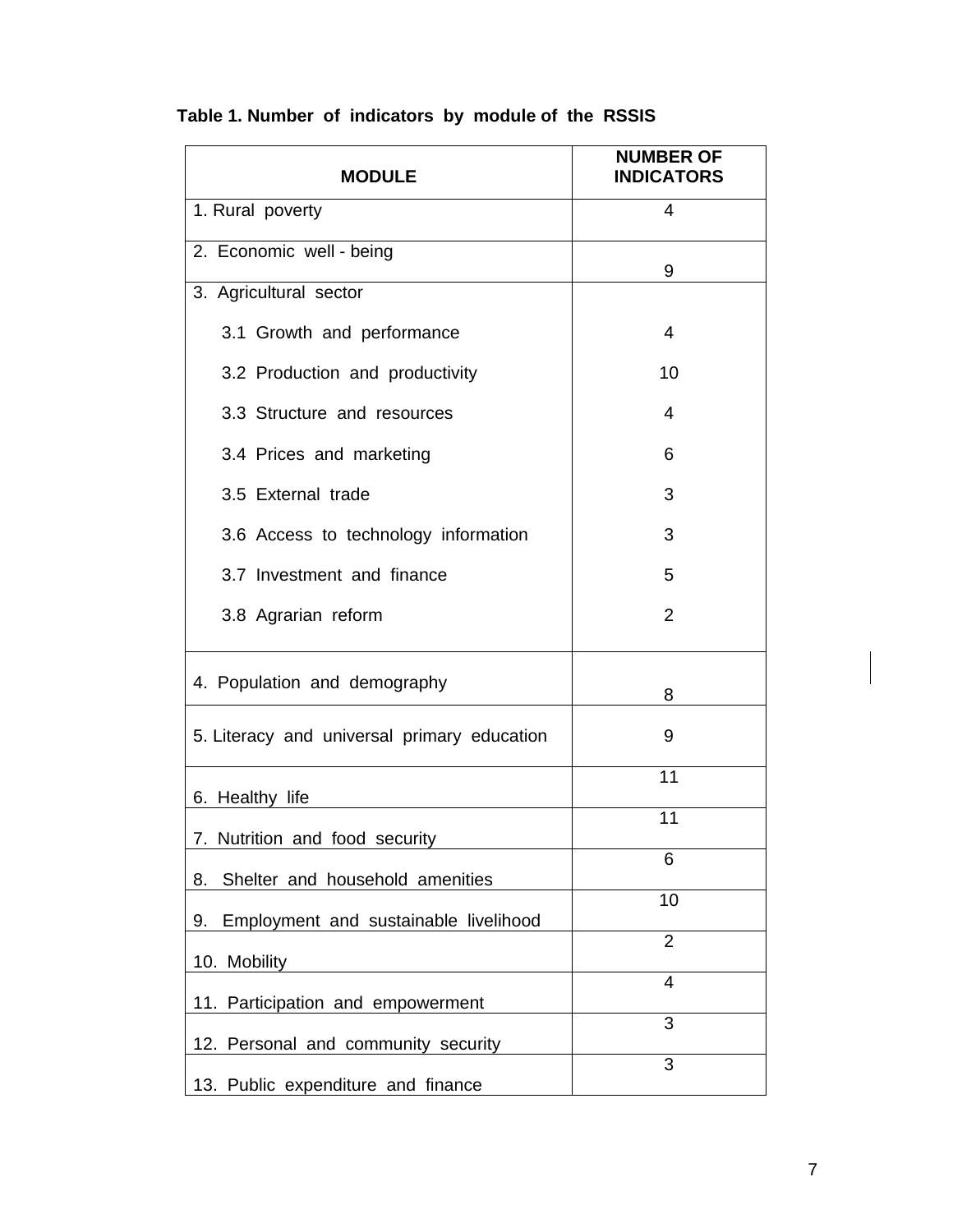| <b>MODULE</b>                                                                | <b>NUMBER OF</b><br><b>INDICATORS</b> |
|------------------------------------------------------------------------------|---------------------------------------|
| 1. Rural poverty                                                             | 4                                     |
| 2. Economic well - being                                                     | 9                                     |
| 3. Agricultural sector                                                       |                                       |
| 3.1 Growth and performance                                                   | 4                                     |
| 3.2 Production and productivity                                              | 10                                    |
| 3.3 Structure and resources                                                  | 4                                     |
| 3.4 Prices and marketing                                                     | 6                                     |
| 3.5 External trade                                                           | 3                                     |
| 3.6 Access to technology information                                         | 3                                     |
| 3.7 Investment and finance                                                   | 5                                     |
| 3.8 Agrarian reform                                                          | 2                                     |
| 4. Population and demography                                                 | 8                                     |
| 5. Literacy and universal primary education                                  | 9                                     |
| 6. Healthy life                                                              | 11                                    |
| 7. Nutrition and food security                                               | 11                                    |
| Shelter and household amenities<br>8.                                        | 6                                     |
|                                                                              | 10                                    |
| Employment and sustainable livelihood<br>9.                                  | $\overline{2}$                        |
| 10. Mobility                                                                 | $\overline{4}$                        |
| 11. Participation and empowerment                                            | 3                                     |
| Personal and community security<br>12.<br>13. Public expenditure and finance | 3                                     |

# **Table 1. Number of indicators by module of the RSSIS**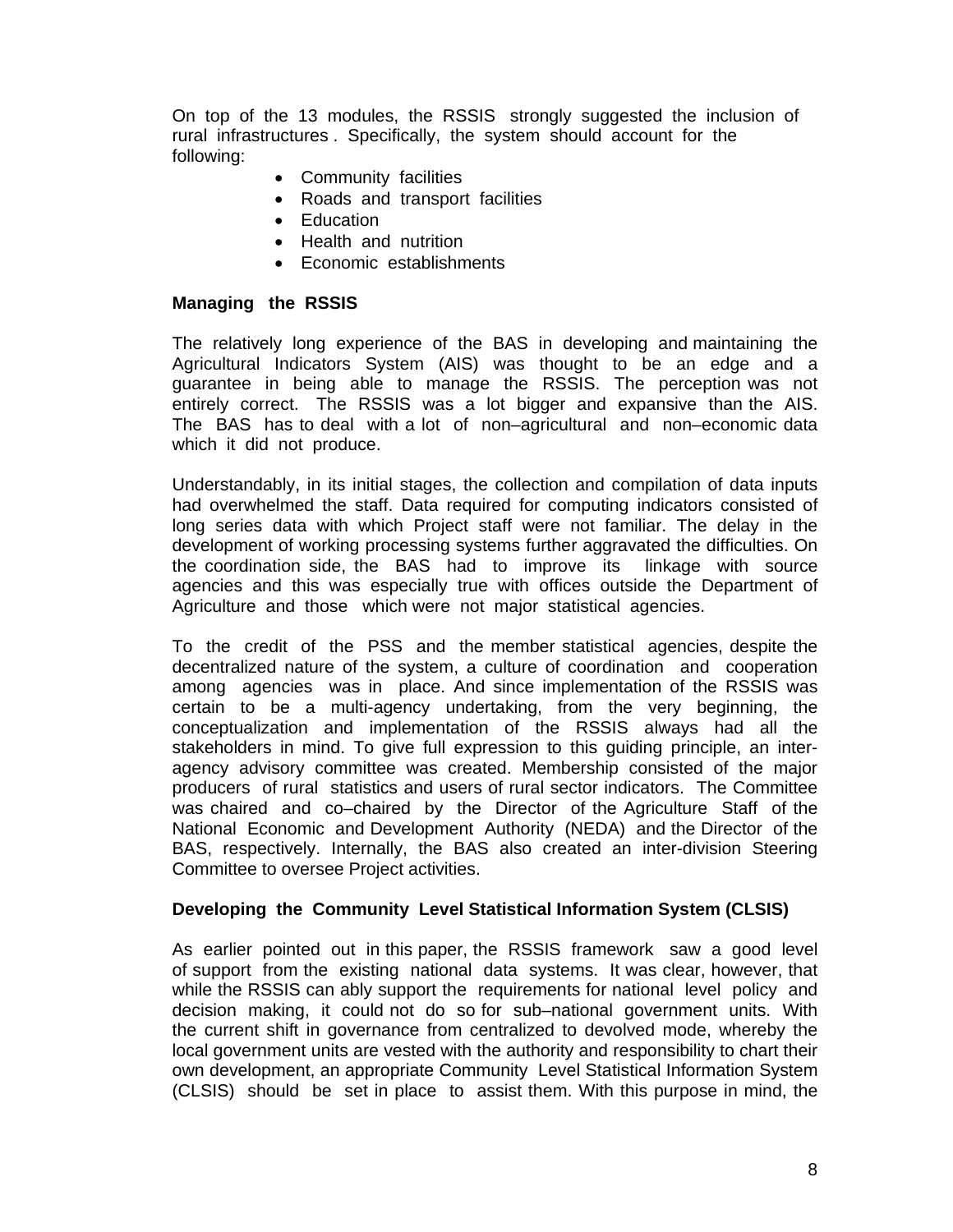On top of the 13 modules, the RSSIS strongly suggested the inclusion of rural infrastructures . Specifically, the system should account for the following:

- Community facilities
- Roads and transport facilities
- Education
- Health and nutrition
- Economic establishments

#### **Managing the RSSIS**

The relatively long experience of the BAS in developing and maintaining the Agricultural Indicators System (AIS) was thought to be an edge and a guarantee in being able to manage the RSSIS. The perception was not entirely correct. The RSSIS was a lot bigger and expansive than the AIS. The BAS has to deal with a lot of non–agricultural and non–economic data which it did not produce.

Understandably, in its initial stages, the collection and compilation of data inputs had overwhelmed the staff. Data required for computing indicators consisted of long series data with which Project staff were not familiar. The delay in the development of working processing systems further aggravated the difficulties. On the coordination side, the BAS had to improve its linkage with source agencies and this was especially true with offices outside the Department of Agriculture and those which were not major statistical agencies.

To the credit of the PSS and the member statistical agencies, despite the decentralized nature of the system, a culture of coordination and cooperation among agencies was in place. And since implementation of the RSSIS was certain to be a multi-agency undertaking, from the very beginning, the conceptualization and implementation of the RSSIS always had all the stakeholders in mind. To give full expression to this guiding principle, an interagency advisory committee was created. Membership consisted of the major producers of rural statistics and users of rural sector indicators. The Committee was chaired and co–chaired by the Director of the Agriculture Staff of the National Economic and Development Authority (NEDA) and the Director of the BAS, respectively. Internally, the BAS also created an inter-division Steering Committee to oversee Project activities.

#### **Developing the Community Level Statistical Information System (CLSIS)**

As earlier pointed out in this paper, the RSSIS framework saw a good level of support from the existing national data systems. It was clear, however, that while the RSSIS can ably support the requirements for national level policy and decision making, it could not do so for sub–national government units. With the current shift in governance from centralized to devolved mode, whereby the local government units are vested with the authority and responsibility to chart their own development, an appropriate Community Level Statistical Information System (CLSIS) should be set in place to assist them. With this purpose in mind, the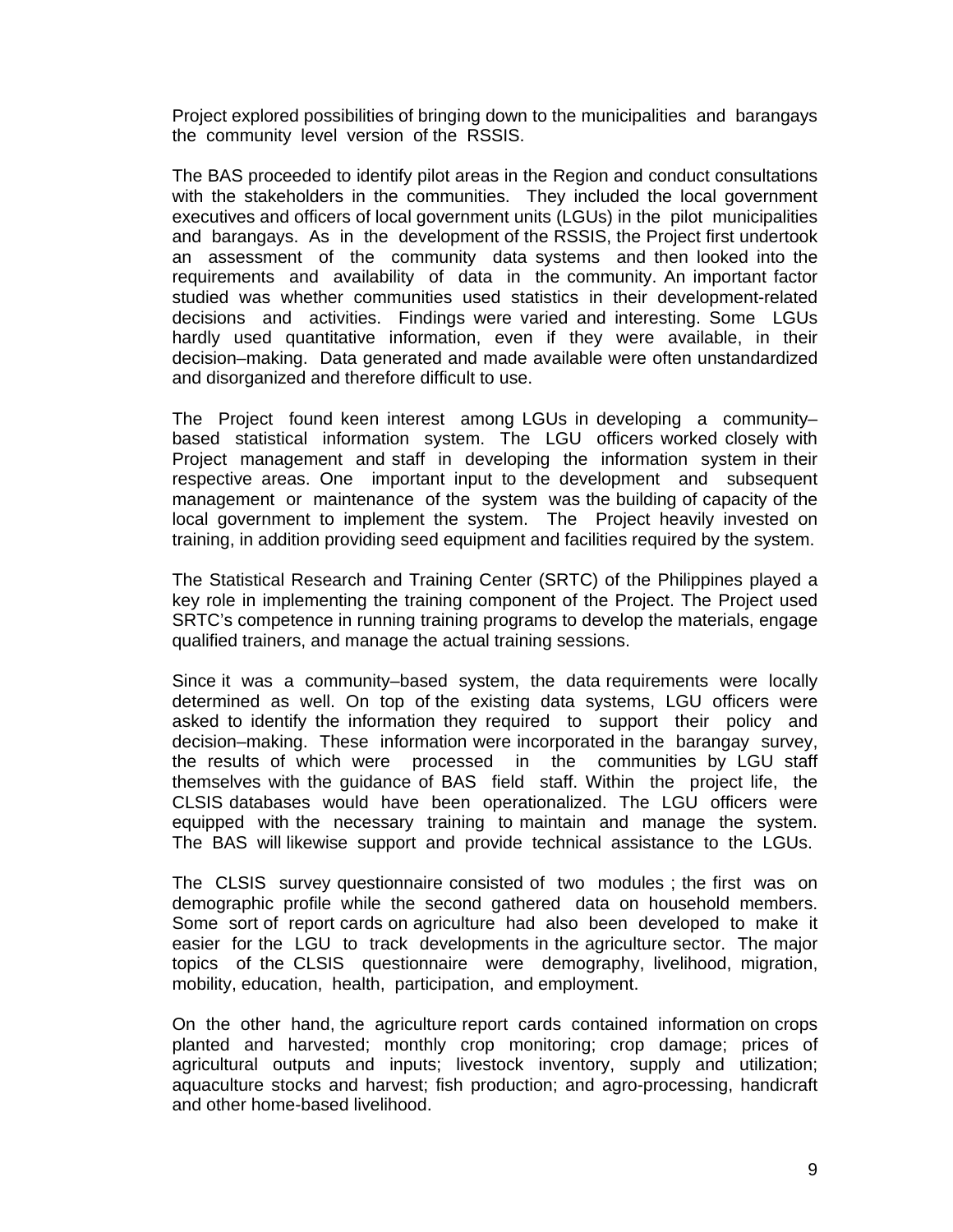Project explored possibilities of bringing down to the municipalities and barangays the community level version of the RSSIS.

The BAS proceeded to identify pilot areas in the Region and conduct consultations with the stakeholders in the communities. They included the local government executives and officers of local government units (LGUs) in the pilot municipalities and barangays. As in the development of the RSSIS, the Project first undertook an assessment of the community data systems and then looked into the requirements and availability of data in the community. An important factor studied was whether communities used statistics in their development-related decisions and activities. Findings were varied and interesting. Some LGUs hardly used quantitative information, even if they were available, in their decision–making. Data generated and made available were often unstandardized and disorganized and therefore difficult to use.

The Project found keen interest among LGUs in developing a community– based statistical information system. The LGU officers worked closely with Project management and staff in developing the information system in their respective areas. One important input to the development and subsequent management or maintenance of the system was the building of capacity of the local government to implement the system. The Project heavily invested on training, in addition providing seed equipment and facilities required by the system.

The Statistical Research and Training Center (SRTC) of the Philippines played a key role in implementing the training component of the Project. The Project used SRTC's competence in running training programs to develop the materials, engage qualified trainers, and manage the actual training sessions.

Since it was a community–based system, the data requirements were locally determined as well. On top of the existing data systems, LGU officers were asked to identify the information they required to support their policy and decision–making. These information were incorporated in the barangay survey, the results of which were processed in the communities by LGU staff themselves with the guidance of BAS field staff. Within the project life, the CLSIS databases would have been operationalized. The LGU officers were equipped with the necessary training to maintain and manage the system. The BAS will likewise support and provide technical assistance to the LGUs.

The CLSIS survey questionnaire consisted of two modules ; the first was on demographic profile while the second gathered data on household members. Some sort of report cards on agriculture had also been developed to make it easier for the LGU to track developments in the agriculture sector. The major topics of the CLSIS questionnaire were demography, livelihood, migration, mobility, education, health, participation, and employment.

On the other hand, the agriculture report cards contained information on crops planted and harvested; monthly crop monitoring; crop damage; prices of agricultural outputs and inputs; livestock inventory, supply and utilization; aquaculture stocks and harvest; fish production; and agro-processing, handicraft and other home-based livelihood.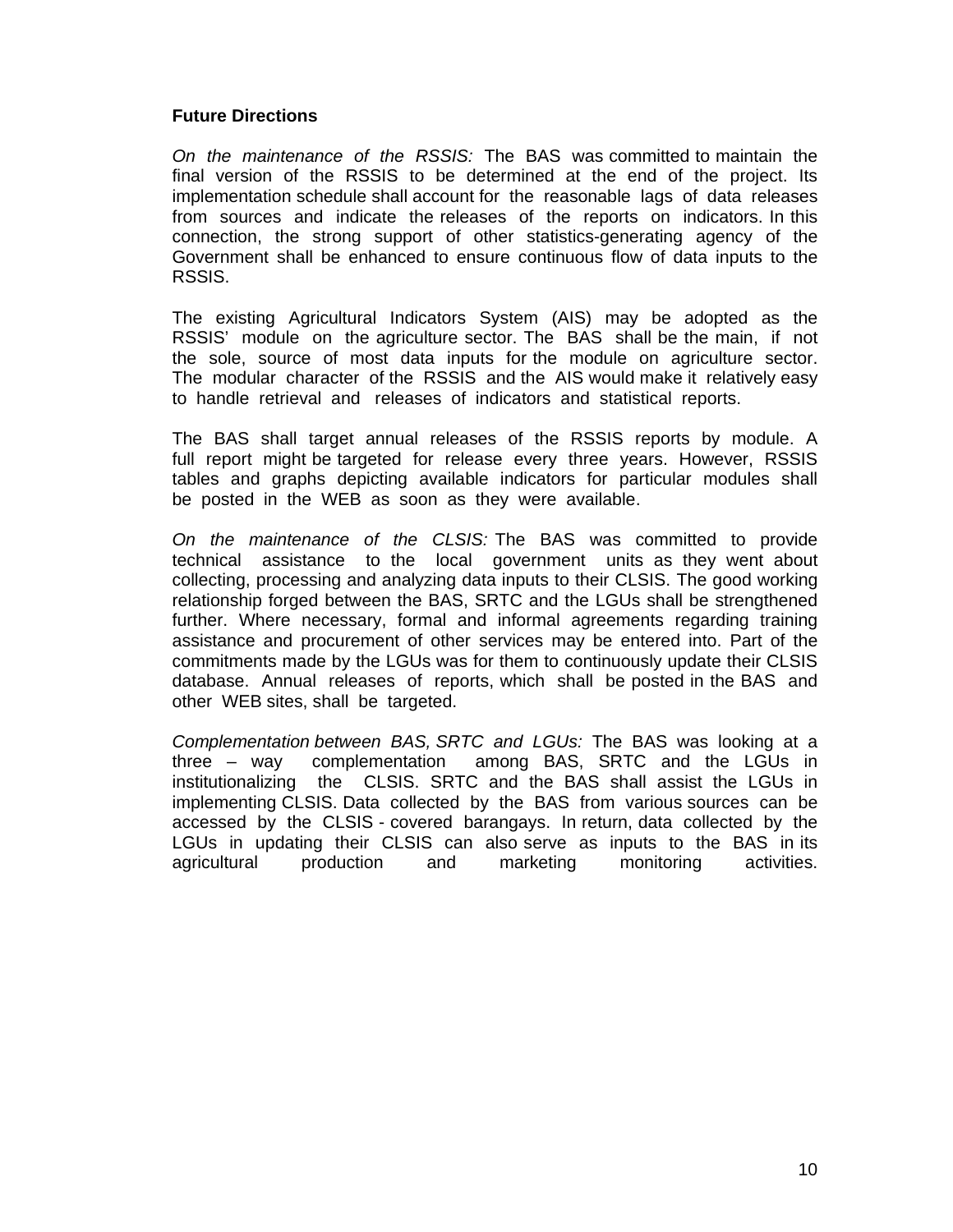### **Future Directions**

*On the maintenance of the RSSIS:* The BAS was committed to maintain the final version of the RSSIS to be determined at the end of the project. Its implementation schedule shall account for the reasonable lags of data releases from sources and indicate the releases of the reports on indicators. In this connection, the strong support of other statistics-generating agency of the Government shall be enhanced to ensure continuous flow of data inputs to the RSSIS.

The existing Agricultural Indicators System (AIS) may be adopted as the RSSIS' module on the agriculture sector. The BAS shall be the main, if not the sole, source of most data inputs for the module on agriculture sector. The modular character of the RSSIS and the AIS would make it relatively easy to handle retrieval and releases of indicators and statistical reports.

The BAS shall target annual releases of the RSSIS reports by module. A full report might be targeted for release every three years. However, RSSIS tables and graphs depicting available indicators for particular modules shall be posted in the WEB as soon as they were available.

*On the maintenance of the CLSIS:* The BAS was committed to provide technical assistance to the local government units as they went about collecting, processing and analyzing data inputs to their CLSIS. The good working relationship forged between the BAS, SRTC and the LGUs shall be strengthened further. Where necessary, formal and informal agreements regarding training assistance and procurement of other services may be entered into. Part of the commitments made by the LGUs was for them to continuously update their CLSIS database. Annual releases of reports, which shall be posted in the BAS and other WEB sites, shall be targeted.

*Complementation between BAS, SRTC and LGUs:*The BAS was looking at a three – way complementation among BAS, SRTC and the LGUs in institutionalizing the CLSIS. SRTC and the BAS shall assist the LGUs in implementing CLSIS. Data collected by the BAS from various sources can be accessed by the CLSIS - covered barangays. In return, data collected by the LGUs in updating their CLSIS can also serve as inputs to the BAS in its agricultural production and marketing monitoring activities.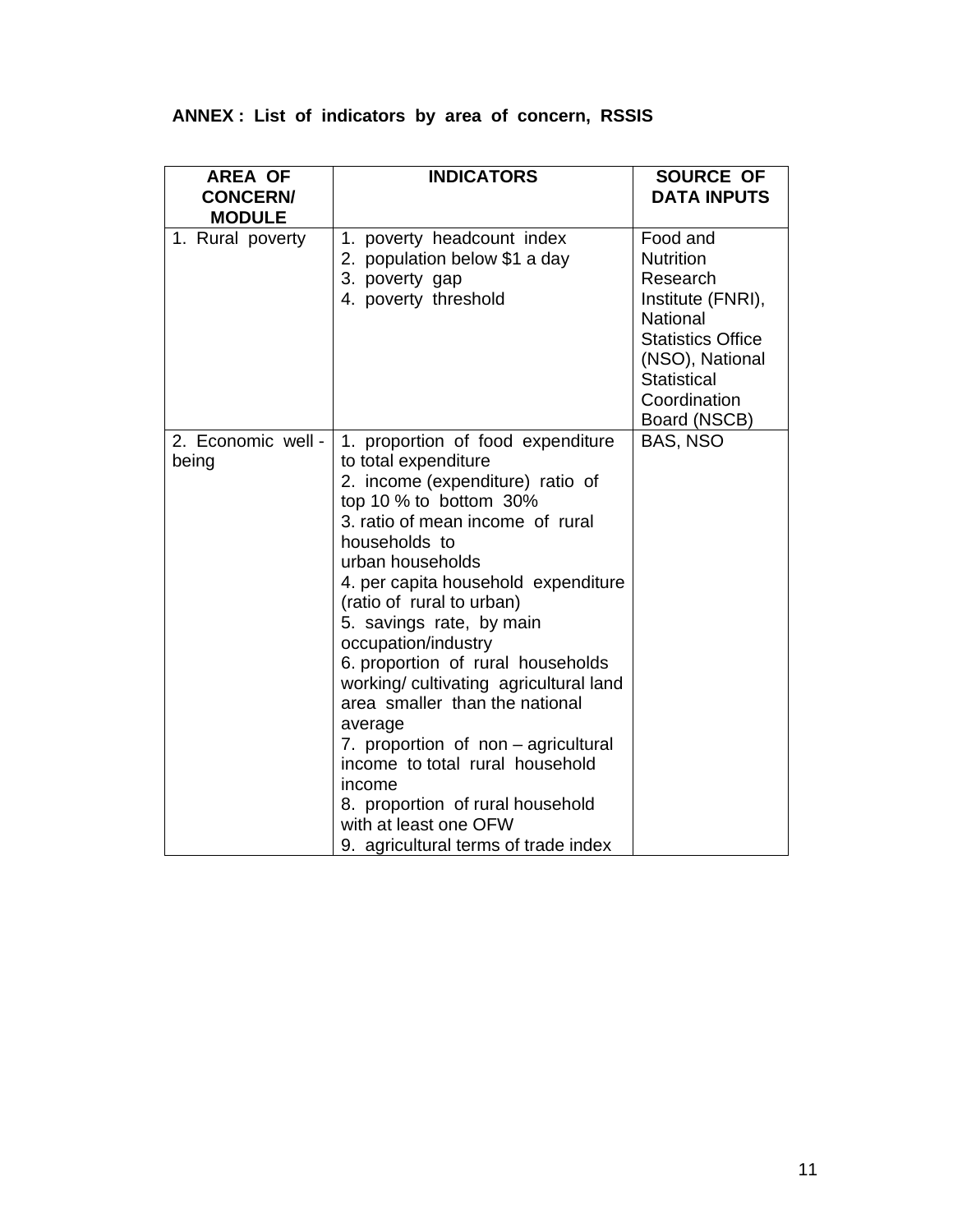| <b>AREA OF</b><br><b>CONCERN/</b><br><b>MODULE</b> | <b>INDICATORS</b>                                                                                                                                                                                                                                                                                                                                                                                                                                                                                                                                                                                                                           | SOURCE OF<br><b>DATA INPUTS</b>                                                                                                                                                |
|----------------------------------------------------|---------------------------------------------------------------------------------------------------------------------------------------------------------------------------------------------------------------------------------------------------------------------------------------------------------------------------------------------------------------------------------------------------------------------------------------------------------------------------------------------------------------------------------------------------------------------------------------------------------------------------------------------|--------------------------------------------------------------------------------------------------------------------------------------------------------------------------------|
| 1. Rural poverty                                   | 1. poverty headcount index<br>2. population below \$1 a day<br>3. poverty gap<br>4. poverty threshold                                                                                                                                                                                                                                                                                                                                                                                                                                                                                                                                       | Food and<br><b>Nutrition</b><br>Research<br>Institute (FNRI),<br>National<br><b>Statistics Office</b><br>(NSO), National<br><b>Statistical</b><br>Coordination<br>Board (NSCB) |
| 2. Economic well -<br>being                        | 1. proportion of food expenditure<br>to total expenditure<br>2. income (expenditure) ratio of<br>top 10 % to bottom 30%<br>3. ratio of mean income of rural<br>households to<br>urban households<br>4. per capita household expenditure<br>(ratio of rural to urban)<br>5. savings rate, by main<br>occupation/industry<br>6. proportion of rural households<br>working/cultivating agricultural land<br>area smaller than the national<br>average<br>7. proportion of non - agricultural<br>income to total rural household<br>income<br>8. proportion of rural household<br>with at least one OFW<br>9. agricultural terms of trade index | BAS, NSO                                                                                                                                                                       |

# **ANNEX : List of indicators by area of concern, RSSIS**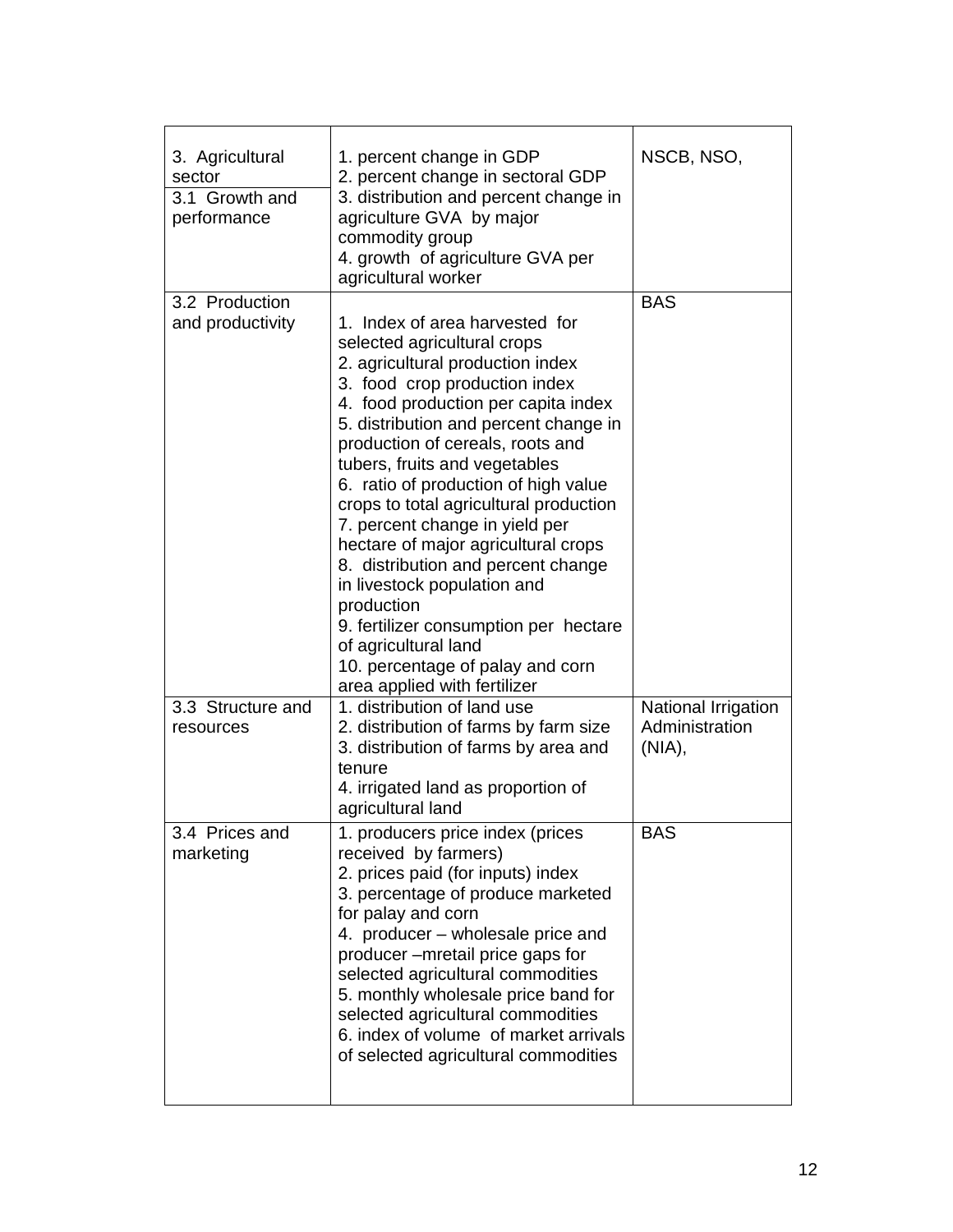| 3. Agricultural<br>sector<br>3.1 Growth and<br>performance | 1. percent change in GDP<br>2. percent change in sectoral GDP<br>3. distribution and percent change in<br>agriculture GVA by major<br>commodity group<br>4. growth of agriculture GVA per<br>agricultural worker                                                                                                                                                                                                                                                                                                                                                                                                                                                           | NSCB, NSO,                                      |
|------------------------------------------------------------|----------------------------------------------------------------------------------------------------------------------------------------------------------------------------------------------------------------------------------------------------------------------------------------------------------------------------------------------------------------------------------------------------------------------------------------------------------------------------------------------------------------------------------------------------------------------------------------------------------------------------------------------------------------------------|-------------------------------------------------|
| 3.2 Production<br>and productivity                         | 1. Index of area harvested for<br>selected agricultural crops<br>2. agricultural production index<br>3. food crop production index<br>4. food production per capita index<br>5. distribution and percent change in<br>production of cereals, roots and<br>tubers, fruits and vegetables<br>6. ratio of production of high value<br>crops to total agricultural production<br>7. percent change in yield per<br>hectare of major agricultural crops<br>8. distribution and percent change<br>in livestock population and<br>production<br>9. fertilizer consumption per hectare<br>of agricultural land<br>10. percentage of palay and corn<br>area applied with fertilizer | <b>BAS</b>                                      |
| 3.3 Structure and<br>resources                             | 1. distribution of land use<br>2. distribution of farms by farm size<br>3. distribution of farms by area and<br>tenure<br>4. irrigated land as proportion of<br>agricultural land                                                                                                                                                                                                                                                                                                                                                                                                                                                                                          | National Irrigation<br>Administration<br>(NIA), |
| 3.4 Prices and<br>marketing                                | 1. producers price index (prices<br>received by farmers)<br>2. prices paid (for inputs) index<br>3. percentage of produce marketed<br>for palay and corn<br>4. producer – wholesale price and<br>producer-mretail price gaps for<br>selected agricultural commodities<br>5. monthly wholesale price band for<br>selected agricultural commodities<br>6. index of volume of market arrivals<br>of selected agricultural commodities                                                                                                                                                                                                                                         | <b>BAS</b>                                      |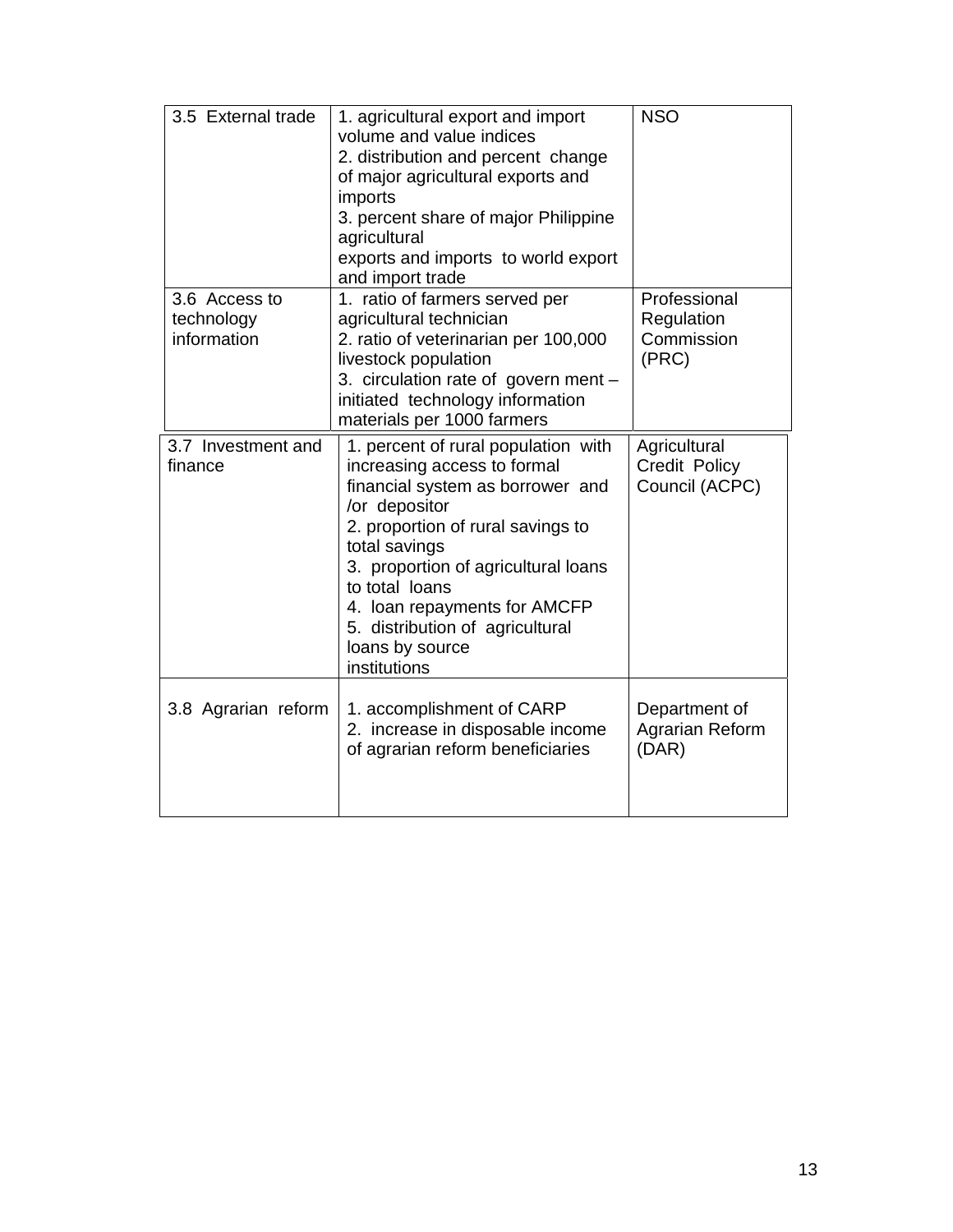| 3.5 External trade                         | 1. agricultural export and import<br>volume and value indices<br>2. distribution and percent change<br>of major agricultural exports and<br>imports<br>3. percent share of major Philippine<br>agricultural<br>exports and imports to world export<br>and import trade                                                                       | <b>NSO</b>                                        |
|--------------------------------------------|----------------------------------------------------------------------------------------------------------------------------------------------------------------------------------------------------------------------------------------------------------------------------------------------------------------------------------------------|---------------------------------------------------|
| 3.6 Access to<br>technology<br>information | 1. ratio of farmers served per<br>agricultural technician<br>2. ratio of veterinarian per 100,000<br>livestock population<br>3. circulation rate of govern ment -<br>initiated technology information<br>materials per 1000 farmers                                                                                                          | Professional<br>Regulation<br>Commission<br>(PRC) |
| 3.7 Investment and<br>finance              | 1. percent of rural population with<br>increasing access to formal<br>financial system as borrower and<br>/or depositor<br>2. proportion of rural savings to<br>total savings<br>3. proportion of agricultural loans<br>to total loans<br>4. Ioan repayments for AMCFP<br>5. distribution of agricultural<br>loans by source<br>institutions | Agricultural<br>Credit Policy<br>Council (ACPC)   |
| 3.8 Agrarian reform                        | 1. accomplishment of CARP<br>2. increase in disposable income<br>of agrarian reform beneficiaries                                                                                                                                                                                                                                            | Department of<br>Agrarian Reform<br>(DAR)         |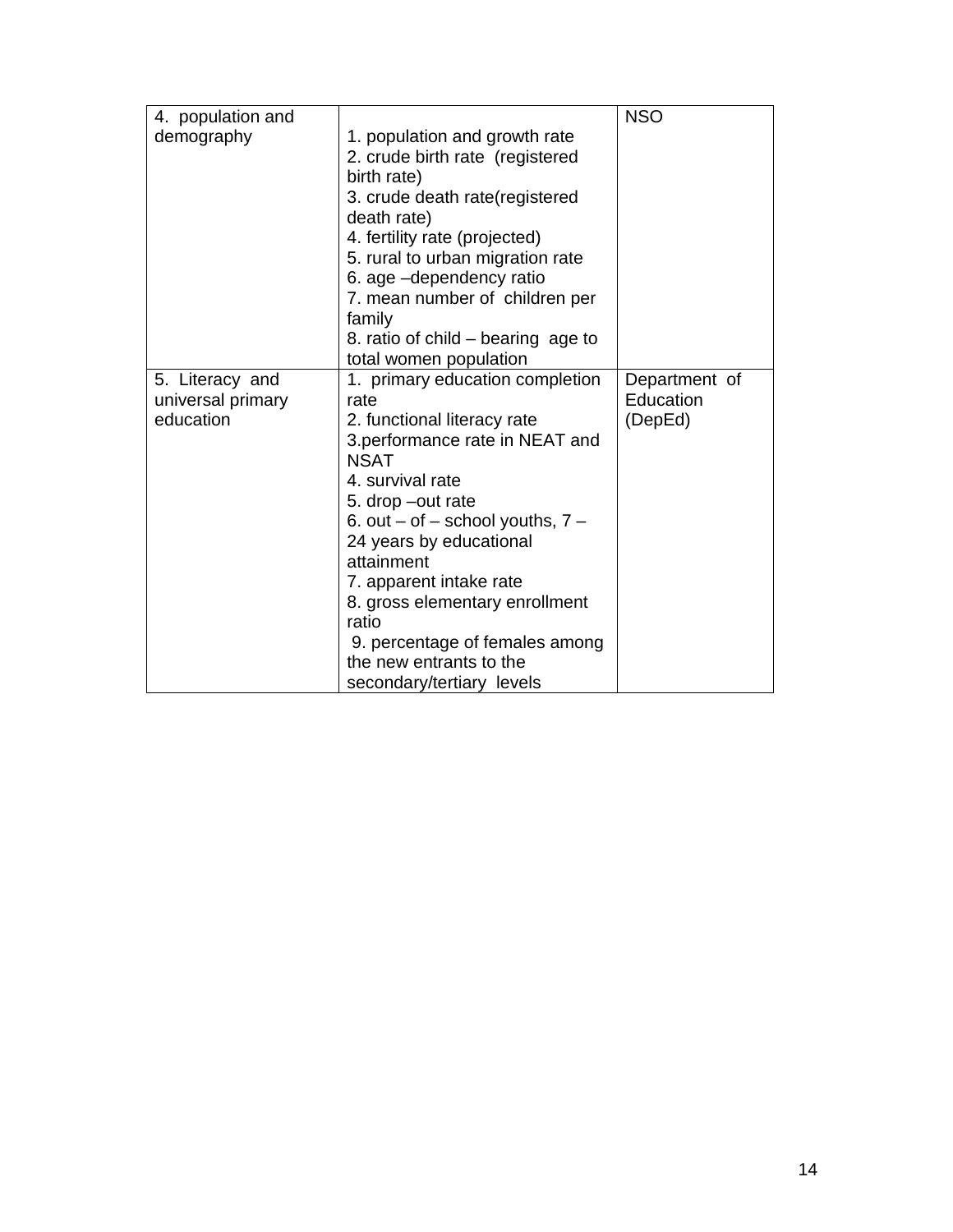| 4. population and |                                        | <b>NSO</b>    |
|-------------------|----------------------------------------|---------------|
| demography        | 1. population and growth rate          |               |
|                   | 2. crude birth rate (registered        |               |
|                   | birth rate)                            |               |
|                   | 3. crude death rate(registered         |               |
|                   | death rate)                            |               |
|                   | 4. fertility rate (projected)          |               |
|                   | 5. rural to urban migration rate       |               |
|                   | 6. age -dependency ratio               |               |
|                   | 7. mean number of children per         |               |
|                   | family                                 |               |
|                   | 8. ratio of child – bearing age to     |               |
|                   | total women population                 |               |
| 5. Literacy and   | 1. primary education completion        | Department of |
| universal primary | rate                                   | Education     |
| education         | 2. functional literacy rate            | (DepEd)       |
|                   | 3.performance rate in NEAT and         |               |
|                   | <b>NSAT</b>                            |               |
|                   | 4. survival rate                       |               |
|                   | 5. drop -out rate                      |               |
|                   | 6. out $-$ of $-$ school youths, $7 -$ |               |
|                   | 24 years by educational                |               |
|                   | attainment                             |               |
|                   | 7. apparent intake rate                |               |
|                   | 8. gross elementary enrollment         |               |
|                   | ratio                                  |               |
|                   |                                        |               |
|                   | 9. percentage of females among         |               |
|                   | the new entrants to the                |               |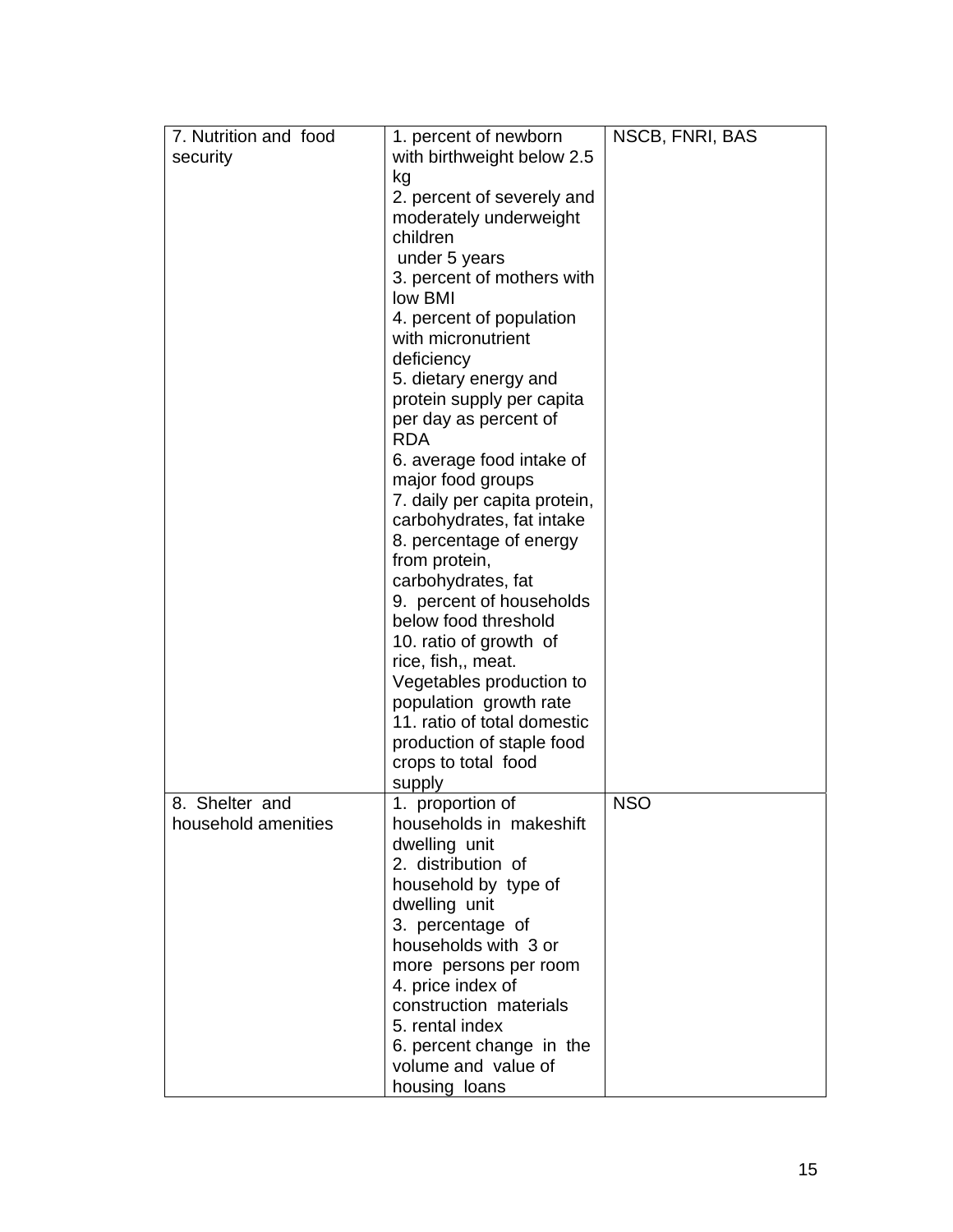| 7. Nutrition and food | 1. percent of newborn                                 | NSCB, FNRI, BAS |
|-----------------------|-------------------------------------------------------|-----------------|
| security              | with birthweight below 2.5                            |                 |
|                       | kg                                                    |                 |
|                       | 2. percent of severely and                            |                 |
|                       | moderately underweight                                |                 |
|                       | children                                              |                 |
|                       | under 5 years                                         |                 |
|                       | 3. percent of mothers with                            |                 |
|                       | low BMI                                               |                 |
|                       | 4. percent of population                              |                 |
|                       | with micronutrient                                    |                 |
|                       | deficiency                                            |                 |
|                       | 5. dietary energy and                                 |                 |
|                       | protein supply per capita                             |                 |
|                       | per day as percent of<br><b>RDA</b>                   |                 |
|                       | 6. average food intake of                             |                 |
|                       | major food groups                                     |                 |
|                       | 7. daily per capita protein,                          |                 |
|                       | carbohydrates, fat intake                             |                 |
|                       | 8. percentage of energy                               |                 |
|                       | from protein,                                         |                 |
|                       | carbohydrates, fat                                    |                 |
|                       | 9. percent of households                              |                 |
|                       | below food threshold                                  |                 |
|                       | 10. ratio of growth of                                |                 |
|                       | rice, fish,, meat.                                    |                 |
|                       | Vegetables production to                              |                 |
|                       | population growth rate<br>11. ratio of total domestic |                 |
|                       | production of staple food                             |                 |
|                       | crops to total food                                   |                 |
|                       | supply                                                |                 |
| 8. Shelter and        | 1. proportion of                                      | <b>NSO</b>      |
| household amenities   | households in makeshift                               |                 |
|                       | dwelling unit                                         |                 |
|                       | 2. distribution of                                    |                 |
|                       | household by type of                                  |                 |
|                       | dwelling unit                                         |                 |
|                       | 3. percentage of                                      |                 |
|                       | households with 3 or                                  |                 |
|                       | more persons per room                                 |                 |
|                       | 4. price index of                                     |                 |
|                       | construction materials                                |                 |
|                       | 5. rental index                                       |                 |
|                       | 6. percent change in the<br>volume and value of       |                 |
|                       | housing loans                                         |                 |
|                       |                                                       |                 |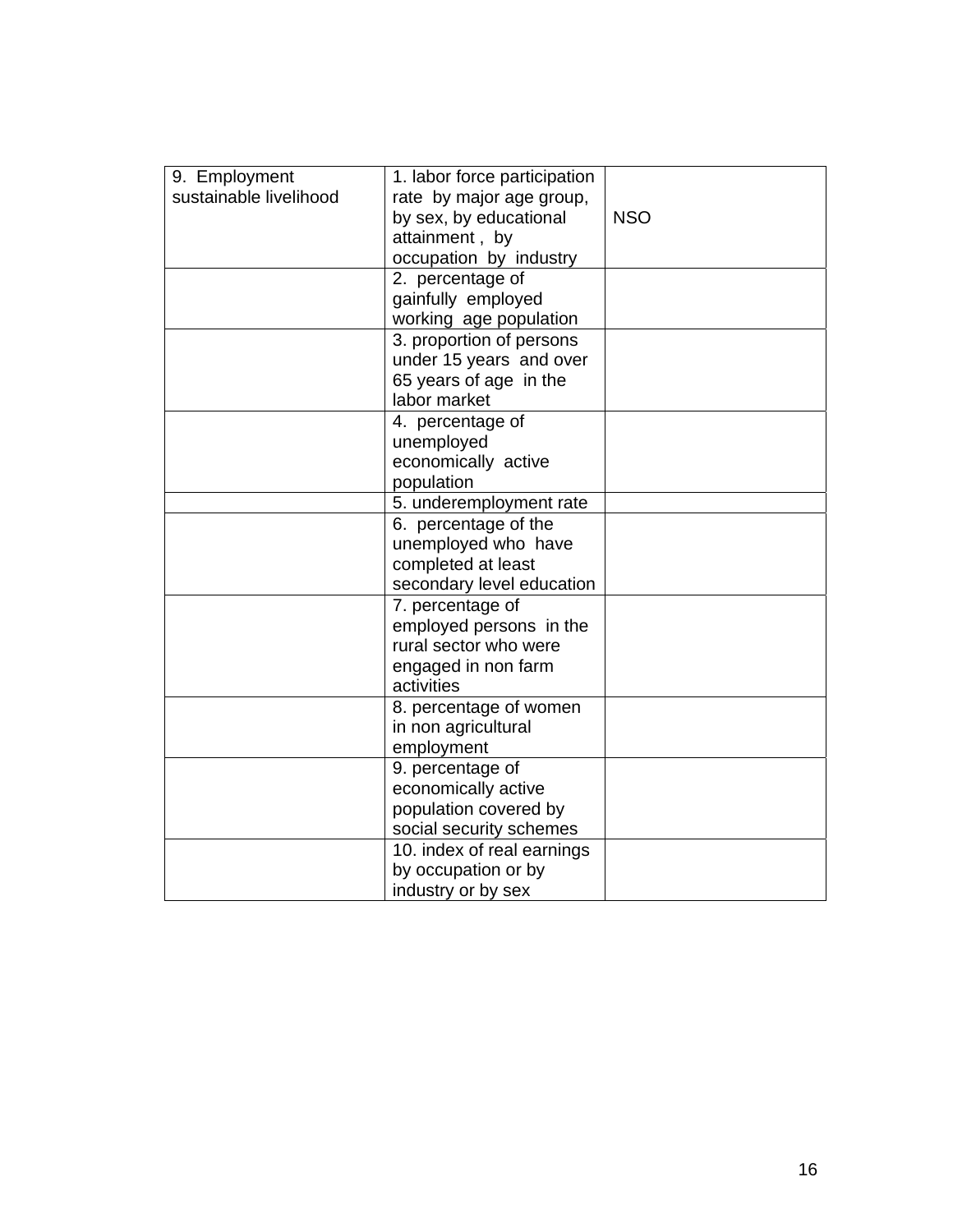| 9. Employment          | 1. labor force participation |            |
|------------------------|------------------------------|------------|
| sustainable livelihood | rate by major age group,     |            |
|                        | by sex, by educational       | <b>NSO</b> |
|                        | attainment, by               |            |
|                        | occupation by industry       |            |
|                        | 2. percentage of             |            |
|                        | gainfully employed           |            |
|                        | working age population       |            |
|                        |                              |            |
|                        | 3. proportion of persons     |            |
|                        | under 15 years and over      |            |
|                        | 65 years of age in the       |            |
|                        | labor market                 |            |
|                        | 4. percentage of             |            |
|                        | unemployed                   |            |
|                        | economically active          |            |
|                        | population                   |            |
|                        | 5. underemployment rate      |            |
|                        | 6. percentage of the         |            |
|                        | unemployed who have          |            |
|                        | completed at least           |            |
|                        | secondary level education    |            |
|                        |                              |            |
|                        | 7. percentage of             |            |
|                        | employed persons in the      |            |
|                        | rural sector who were        |            |
|                        | engaged in non farm          |            |
|                        | activities                   |            |
|                        | 8. percentage of women       |            |
|                        | in non agricultural          |            |
|                        | employment                   |            |
|                        | 9. percentage of             |            |
|                        | economically active          |            |
|                        | population covered by        |            |
|                        | social security schemes      |            |
|                        | 10. index of real earnings   |            |
|                        |                              |            |
|                        | by occupation or by          |            |
|                        | industry or by sex           |            |